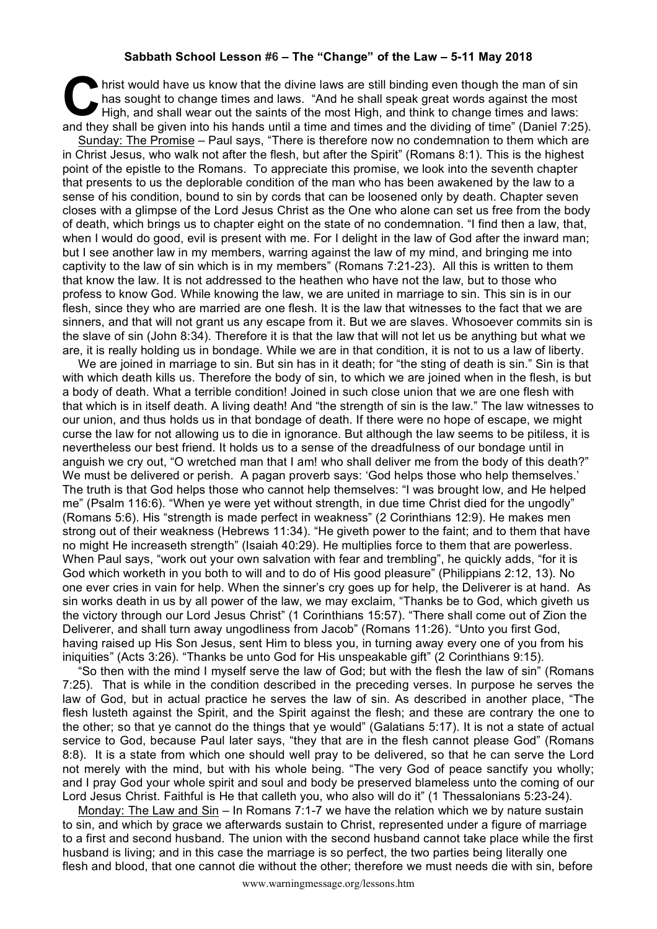## **Sabbath School Lesson #6 – The "Change" of the Law – 5-11 May 2018**

If hrist would have us know that the divine laws are still binding even though the man of sin has sought to change times and laws. "And he shall speak great words against the most High, and shall wear out the saints of the most High, and think to change times and laws: and they shall be given into his hands until a time and times and the dividing even though the man of sin has sought to change times and laws. "And he shall speak great words against the most High, and shall wear out the s

Sunday: The Promise – Paul says, "There is therefore now no condemnation to them which are in Christ Jesus, who walk not after the flesh, but after the Spirit" (Romans 8:1). This is the highest point of the epistle to the Romans. To appreciate this promise, we look into the seventh chapter that presents to us the deplorable condition of the man who has been awakened by the law to a sense of his condition, bound to sin by cords that can be loosened only by death. Chapter seven closes with a glimpse of the Lord Jesus Christ as the One who alone can set us free from the body of death, which brings us to chapter eight on the state of no condemnation. "I find then a law, that, when I would do good, evil is present with me. For I delight in the law of God after the inward man; but I see another law in my members, warring against the law of my mind, and bringing me into captivity to the law of sin which is in my members" (Romans 7:21-23). All this is written to them that know the law. It is not addressed to the heathen who have not the law, but to those who profess to know God. While knowing the law, we are united in marriage to sin. This sin is in our flesh, since they who are married are one flesh. It is the law that witnesses to the fact that we are sinners, and that will not grant us any escape from it. But we are slaves. Whosoever commits sin is the slave of sin (John 8:34). Therefore it is that the law that will not let us be anything but what we are, it is really holding us in bondage. While we are in that condition, it is not to us a law of liberty.

We are joined in marriage to sin. But sin has in it death; for "the sting of death is sin." Sin is that with which death kills us. Therefore the body of sin, to which we are joined when in the flesh, is but a body of death. What a terrible condition! Joined in such close union that we are one flesh with that which is in itself death. A living death! And "the strength of sin is the law." The law witnesses to our union, and thus holds us in that bondage of death. If there were no hope of escape, we might curse the law for not allowing us to die in ignorance. But although the law seems to be pitiless, it is nevertheless our best friend. It holds us to a sense of the dreadfulness of our bondage until in anguish we cry out, "O wretched man that I am! who shall deliver me from the body of this death?" We must be delivered or perish. A pagan proverb says: 'God helps those who help themselves.' The truth is that God helps those who cannot help themselves: "I was brought low, and He helped me" (Psalm 116:6). "When ye were yet without strength, in due time Christ died for the ungodly" (Romans 5:6). His "strength is made perfect in weakness" (2 Corinthians 12:9). He makes men strong out of their weakness (Hebrews 11:34). "He giveth power to the faint; and to them that have no might He increaseth strength" (Isaiah 40:29). He multiplies force to them that are powerless. When Paul says, "work out your own salvation with fear and trembling", he quickly adds, "for it is God which worketh in you both to will and to do of His good pleasure" (Philippians 2:12, 13). No one ever cries in vain for help. When the sinner's cry goes up for help, the Deliverer is at hand. As sin works death in us by all power of the law, we may exclaim, "Thanks be to God, which giveth us the victory through our Lord Jesus Christ" (1 Corinthians 15:57). "There shall come out of Zion the Deliverer, and shall turn away ungodliness from Jacob" (Romans 11:26). "Unto you first God, having raised up His Son Jesus, sent Him to bless you, in turning away every one of you from his iniquities" (Acts 3:26). "Thanks be unto God for His unspeakable gift" (2 Corinthians 9:15).

"So then with the mind I myself serve the law of God; but with the flesh the law of sin" (Romans 7:25). That is while in the condition described in the preceding verses. In purpose he serves the law of God, but in actual practice he serves the law of sin. As described in another place, "The flesh lusteth against the Spirit, and the Spirit against the flesh; and these are contrary the one to the other; so that ye cannot do the things that ye would" (Galatians 5:17). It is not a state of actual service to God, because Paul later says, "they that are in the flesh cannot please God" (Romans 8:8). It is a state from which one should well pray to be delivered, so that he can serve the Lord not merely with the mind, but with his whole being. "The very God of peace sanctify you wholly; and I pray God your whole spirit and soul and body be preserved blameless unto the coming of our Lord Jesus Christ. Faithful is He that calleth you, who also will do it" (1 Thessalonians 5:23-24).

Monday: The Law and Sin – In Romans 7:1-7 we have the relation which we by nature sustain to sin, and which by grace we afterwards sustain to Christ, represented under a figure of marriage to a first and second husband. The union with the second husband cannot take place while the first husband is living; and in this case the marriage is so perfect, the two parties being literally one flesh and blood, that one cannot die without the other; therefore we must needs die with sin, before